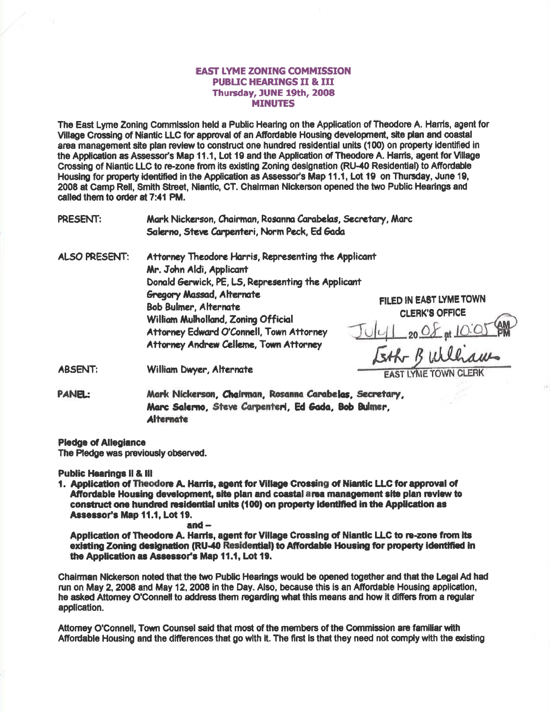### **EAST LYME ZONING COMMISSION** PUBLIC HEARINGS II & III Thursday, JUNE 19th, 2008 **MINUTES**

The East Lyme Zoning Commission held a Public Hearing on the Application of Theodore A. Harris, agent for Village Crossing of Niantic LLC for approval of an Affordable Housing development, site plan and coastal area management site plan revlew to construct one hundred residential units (100) on property identified in the Application as Assessor's Map 11.1, Lot 19 and the Application of Theodore A. Harris, agent for Village Crossing of Niantic LLC to re-zone from its existing Zoning designation (RU-40 Residential) to Affordable Housing for property identified in the Application as Assessor's Map 11.1. Lot 19 on Thursday, June 19, 2008 at Camp Rell, Smith Street, Niantic, CT. Chairman Nickerson opened the two Public Hearings and called thom to oder at 7:41 PM.

PRESENT: Mark Nickerson, Chairman, Rosanna Carabelas, Secretary, Marc Salerno, Steve Carpenteri, Norm Peck, Ed Gada

ALSO PRESENT: Attorney Theodore Harris, Representing the Applicant Mr. John Aldi, Applicant Donald Gerwick, PE, LS, Representing the Applicant Gregory Massad, Alternate Bob Bulmer, Alternate William Mulholland. Zoning Official Attorney Edward O'Connell, Town Attorney Attorney Andrew Celleme, Town Attorney

FILED IN EAST LYMETOWN CLERK'S OFFICE  $J_U|_{L}$  20  $\Delta$  at Isth Builbau

ABSENT: William Dwyer, Alternate

PANEL: Mark Nickerson, Chairman, Rosanna Carabelas, Secretary, Marc Salerno, Steve Carpenteri, Ed Gada, Bob Bulmer, Alternate

#### Pledge of Allegiance

The Pledge was previously observed.

Public Hearlngs ll & lll

1. Application of Theodore A. Harris, agent for Village Crossing of Niantic LLC for approval of Affordable Housing development, site plan and coastal area management site plan review to construct one hundred residential units (100) on property identified in the Application as Assessor's Map 11.1, Lot 19.

#### and  $-$

Application of Theodore A. Harris, agent for Village Crossing of Niantic LLC to re-zone from it<mark>s</mark> existing Zoning designation (RU-40 Residential) to Affordable Housing for property identified in the Application as Assessor's Map 11.1, Lot 19.

Chairman Nickerson noted that the two Public Hearlngs would be opened together and that the Legal Ad had run on May 2, 2008 and May 12, 2008 in the Day. Also, because this is an Affordable Housing application, he asked Attomey O'Connell to address them regarding what this means and how it differs from a regular application.

Attomey O'Connell, Town Counsel said that most of the members of the Commission are familiar with Affordable Housing and the differences that go with it. The first is that they need not comply with the existing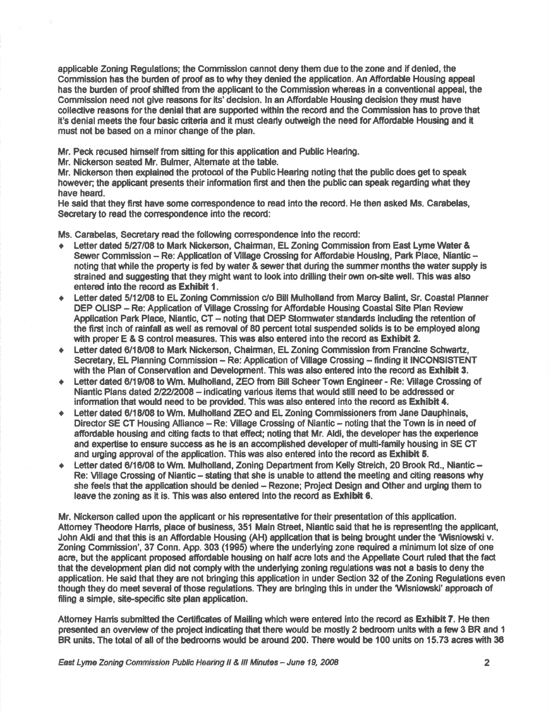applicable Zoning Regulations; the Commission cannot deny thern due to the zone and if denied, the Commission has the burden of proof as to why they denied the application. An Affordable Housing appeal has the burden of proof shifted from the applicant to the Commission whereas in a conventional appeal, the Commission need not give reasons for its' decision, In an Affordable Housing decision they must have collective reasons for the denial that are supported within the record and the Commission has to prove that it's denial meets the four basic criteria and it must clearly outweigh the need for Affordable Housing and it must not be based on a minor change of the plan.

Mr. Peck recused himself from sitting for this application and Public Hearing.

Mr. Nickerson seated Mr. Bulmer, Alternate at the table.

Mr. Nickerson then explained the protocol of the Public Hearing noting that the public does get to speak however; the applicant presents their information first and then the public can speak regarding what they have heard.

He said that they first have some correspondence to read into the record. He then asked Ms. Carabelas, Secretary to read the correspondence into the record:

Ms. Carabelas, Secretary read the following correspondence into the record:

- Letter dated 5/27/08 to Mark Nickerson, Chairman, EL Zoning Commission from East Lyme Water & Sewer Commission - Re: Application of Village Crossing for Affordable Housing, Park Place, Niantic noting that while the property is fed by water & sewer that during the summer months the water supply is strained and suggesting that they might want to look into drilling their own on-site well. This was also entered into the record as Exhibit 1.
- Letter dated 5/12/08 to EL Zoning Commission c/o Bill Mulholland from Marcy Balint, Sr. Coastal Planner DEP OLISP - Re: Application of Village Crossing for Affordable Housing Coastal Site Plan Review Application Park Place, Niantic, CT - noting that DEP Stormwater standards including the retention of the first inch of rainfall as well as removal of 80 percent total suspended solids is to be employed along with proper  $E 8.$  S control measures. This was also entered into the record as  $Exhibit 2.$
- Letter dated 6/18/08 to Mark Nickerson, Chairman, EL Zoning Commission from Francine Schwartz, Secretary, EL Planning Commission – Re: Application of Village Crossing – finding it INCONSISTENT with the Plan of Conservation and Development. This was also entered into the record as Exhibit 3.
- Letter dated 6/19/08 to Wm. Mulholland, ZEO from Bill Scheer Town Engineer Re: Village Crossing of Niantic Plans dated 2/22/2008 – indicating various items that would still need to be addressed or information that would need to be provided. This was also entered into the record as Exhibit 4.
- Letter dated 6/18/08 to Wm. Mulholland ZEO and EL Zoning Commissioners from Jane Dauphinais, Director SE CT Housing Alliance - Re: Village Crossing of Niantic - noting that the Town is in need of affordable housing and citing fads to that effed; noting that Mr. Aldl, the developer has the experience and expertise to ensure success as he is an accomplished developer of multi-family housing in SE CT and urging approval of lhe application. Thls wes also ontered into the record as Exhibit 6.
- Letter dated 6/16/08 to Wm. Mulholland, Zoning Department from Kelly Streich, 20 Brook Rd., Niantic -Re: Village Crossing of Niantic - stating that she is unable to attend the meeting and citing reasons why she feels that the application should be denied - Rezone; Project Design and Other and urging them to leave the zoning as it is. This was also entered into the record as Exhlbit 6.

Mr, Nickerson called upon the apdicant or his representative fortheir presentation of this application. Attorney Theodore Harris, place of business, 351 Main Street, Niantic said that he is representing the applicant, John Aldi and that this is an Affordable Housing (AH) application that is being brought under the 'Wisniowski v. Zoning Commission', 37 Conn. App. 303 (1995) where the underlying zone required a minimum lot size of one acre, but the applicant proposed affordable housing on half acre lots and the Appellate Court ruled that the fact that the development plan did not comply with the underlying zoning regulations was not a basis to deny the application. He said that they are not bringing this application in under Section 32 of the Zoning Regulations even though they do meet several of those regulations. They are bringing this in under the Wisniowski' approach of filing a simple, site-specific site plan application.

Attomey Hamis submitted the Certificates of Mailing which were entered into the record as **Exhibit 7.** He then presented an overview of the project indicating that there would be mostly 2 bedroom units with a few 3 BR and 1 BR units. The total of all of the bedrooms would be around 200. There would be 100 units on 15.73 acres with 36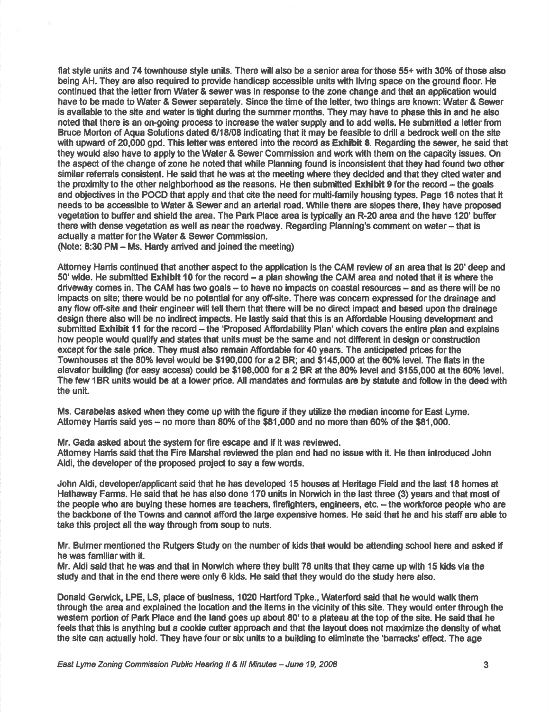flat style units and 74 townhouse style units. There will also be a senior area for those 55+ with 30% of those also being AH. They are also required to provide handicap accessible units with living space on the ground floor. He continued that the letter from Water & sewer was in response to the zone change and that an application would have to be made to Water & Sewer separately. Since the time of the letter, two things are knoum: Water & Sewer is available to the site and water is tight during the summer months. They may have to phase this in and he also noted that there is an on-going process to increase the water supply and to add wells. He submitted a letter from Bruce Morton of Aqua Solutions dated 6/18/08 indicating that it may be feasible to drill a bedrock well on the site with upward of 20,000 gpd. This letter was entered into the record as Exhibit 8. Regarding the sewer, he said that they would also have to apply to the Water & Sewer Commission and work with them on the capacity issues. On the aspect of the change of zone he noted that while Planning found is inconsistent that they had found two other similar referrals consistent. He said that he was at the meeting where they decided and that they cited water and the proximity to the other neighborhood as the reasons. He then submitte<mark>d Exhibit 9</mark> for the record – the goals and objectives in the POCD that apply and that cite the need for multi-family housing types. Page 16 notes that it needs to be accessible to Water & Sewer and an arterial road. While there are slopes there, they have proposed vegetation to buffer and shield the area. The Park Place area is typically an R-20 area and the have 120' buffer there with dense vegetation as well as near the roadway. Regarding Planning's comment on water-that is actually a matter for the Water & Sewer Commission.

(Note:  $8:30$  PM  $-$  Ms. Hardy arrived and joined the meeting)

Attomey Harris continued that another aspect to the application is the CAM review of an area that is 20' deep and 50' wide. He submitted Exhibit 10 for the record – a plan showing the CAM area and noted that it is where the driveway comes in. The CAM has two goals – to have no impacts on coastal resources – and as there will be no impads on site; there would be no potential for any off-site. There was conoem expressed forthe drainage and any flow off-site and their engineer will tell them that there will be no direct impact and based upon the drainage design there also will be no indirect impacts. He lastly said that this is an Affordable Housing development and submitted Ex**hibit 11** for the record – the 'Proposed Affordability Plan' which covers the entire plan and explains how people would qualify and states that units must be the same and not different in design or construction except for the sale price. They must also remain Affordable for 40 years. The anticipated prices for the Townhouses at the 80% level would be \$190,000 for a 2 BR; and \$145,000 at the 60% level. The flats in the elevator building (for easy access) could be \$198,000 for a 2 BR at the 80% level and \$155,000 at the 60% level. The few 1BR units would be at a lower price. All mandates and formulas are by statute and follow in the deed with the unit.

Ms. Carabelas asked when they come up with the figure if they utilize the median income for East Lyme. Attomey Hamis said yes  $-$  no more than 80% of the \$81,000 and no more than 60% of the \$81,000.

Mr. Gada asked about the system for fire escape and if it was reviewed. Attomey Harris said that the Fire Marshal reviewed the plan and had no issue with it. He then introduced John Aldi, the developer of the proposed project to say a few words.

John Aldi, developer/applicant said that he has developed 15 houses at Heritage Field and the last 18 homes at Hathaway Farms. He said that he has also done 170 units in Norwich in the last three (3) years and that most of the people who are buying these homes are teachers, firefighters, engineers, etc. - the workforce people who are the backbone of the Towns and cannot afford the large expensive homes. He said that he and his staff are able to take this project all the way through from soup to nuts.

Mr. Bulmer mentioned the Rutgers Study on the number of kids that would be attending school here and asked if he was familiarwith it.

Mr. Aldi said that he was and that in Norwich where they built 78 units that they came up with 15 kids via the study and that in the end there were only 6 kids. He said that they would do the study here also.

Donald Geruick, LPE, LS, place of business, 1020 Hartford Tpke., Waterford said that he would walk them through the area and explained the location and the items in the vicinity of this site. They would enter through the westem portion of Park Place and the land goes up about 80' to a plateau at the top of the site. He said that he feels that this is anything but a cookie cutter approach and that the layout does not maximize the density of what the site can adually hold. They have four or six units to a building to eliminate the 'baracks' effed. The age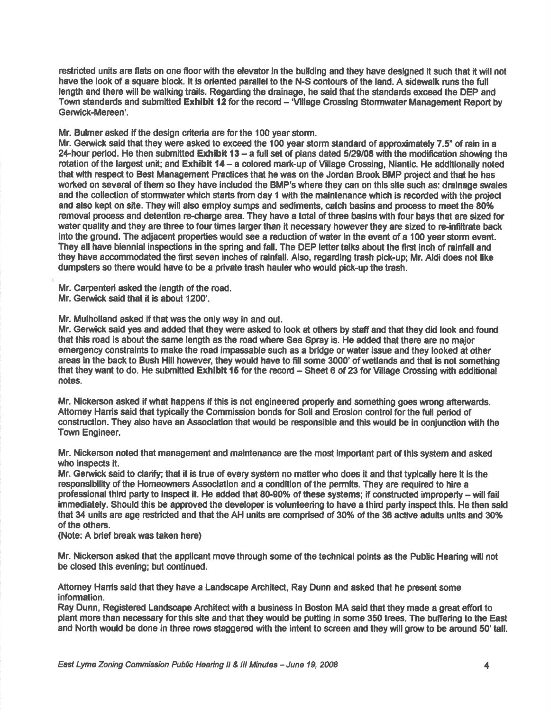restricted units are flats on one floor with the elevator in the building and they have designed it such that it will not have the look of a square block. It is oriented parallel to the N-S contours of the land. A sidewalk runs the full length and there will be walking trails. Regarding the drainage, he said that the standards exceed the DEP and Town standards and submitted Exhibit 12 for the record - 'Village Crossing Stomwater Management Report by Gerwick-Mereen'.

Mr. Bulmer asked if the design criteria are for the 100 year storm.

Mr. Gerwick said that they were asked to exceed the 100 year storm standard of approximately 7.5" of rain in a 24-hour period. He then submitted Exhibit 13 - a full set of plans dated 5/29/08 with the modification showing the rotation of the largest unit; and Exhibit 14 - a colored mark-up of Village Crossing, Niantic. He additionally noted that with respect to Best Management Practices that he was on the Jordan Brook BMP project and that he has worked on several of them so they have included the BMP's where they can on this site such as: drainage swales and the collection of stormwater which starts from day 1 with the maintenance which is recorded with the project and also kept on site. They will also employ sumps and sediments, catch basins and process to meet the 80% removal process and detention re-charge area. They have a total of three basins with four bays that are sized for water quality and they are three to four times larger than it necessary however they are sized to re-infiltrate back into the ground. The adjacent properties would see a reduction of water in the event of a 100 year storm event. They all have biennial inspections in the spring and fall. The DEP letter talks about the first inch of rainfall and they have accommodated the first seven inches of rainfall. Also, regarding trash pick-up; Mr. Aldi does not like dumpsters so there would have to be a private trash hauler who would pick-up the trash.

Mr. Carpenteri asked the length of the road. Mr. Gerwick said that it is about 1200'.

Mr. Mulholland asked if that was the only way in and out.

Mr. Gerwick said yes and added that they were asked to look at others by staff and that they did look and found that this road is about the same length as the road where Sea Spray is. He added that there are no major emergency constraints to make the road impassable such as <sup>a</sup>bridge or water issue and they looked at other areas in the back to Bush Hill however, they would have to fill some 3000' of wetlands and that is not something that they want to do. He submitted **Exhibit 15** for the record – Sheet 6 of 23 for Village Crossing with additional notes.

Mr. Nickerson asked if what happens if this is not engineered properly and something goes wrong afterwards. Attomey Harris said that typically the Commission bonds for Soil and Erosion control for the full period of construction. They also have an Association that would be responsible and this would be in conjunction with the **Town Engineer.** 

Mr. Nickerson noted that management and maintenance are the most important part of this system and asked who inspects it.

Mr. Gerwick said to clarify; that it is true of every system no matter who does it and that typically here it is the responsibility of the Homeowners Association and a condition of the permits. They are required to hire a professional third party to inspect it. He added that 80-90% of these systems; if constructed improperly - will fail immediately. Should this be approved the developer is volunteering to have a third party inspect this. He then said that 34 units are age restricted and that the AH units are comprised of 30% of the 36 active adults units and 30% of the othes.

(Note: A brief break was taken here)

Mr. Nickerson asked that the applicant move through some of the technical points as the Public Hearing will not be closed this evening; but continued.

Attomey Hanis said that they have a Landscape Architect, Ray Dunn and asked that he present some infomation.

Ray Dunn, Registered Landscape Architect with a business in Boston MA said that they made a great effort to plant more than necessary for this site and that they would be putting in some 350 trees. The buffering to the East and North would be done in three rows staggered with the intent to screen and they will grow to be around 50' tall.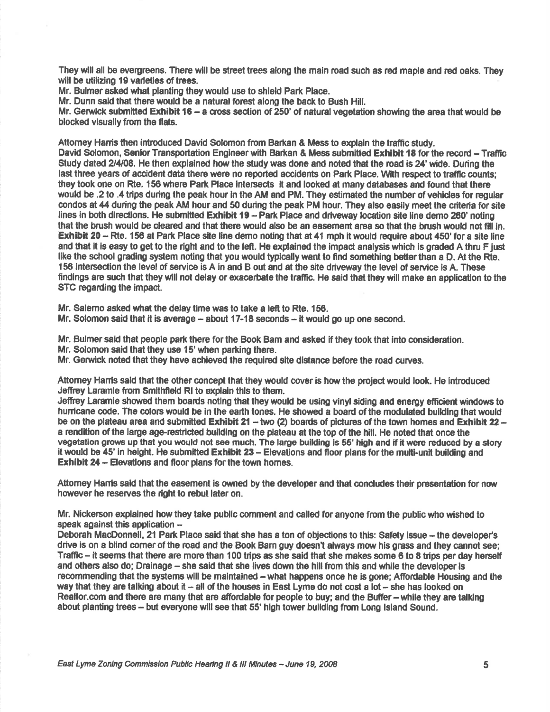They will all be evergreens. There will be street trees along the main road such as red maple and red oaks. They will be utilizing 19 varieties of trees.

Mr. Bulmer asked what planting they would use to shield Park Place.

Mr. Dunn said that there would be a natural forest along the back to Bush Hill.

Mr. Gerwick submitted Exhibit 16 - a cross section of 250' of natural vegetation showing the area that would be blocked visually from the flats.

Attorney Harris then introduced David Solomon from Barkan & Mess to explain the traffic study.

David Solomon, Senlor Transportation Englneer with Bartan & Mess submitted Exhibit 18 for the record - Treffic Study dated 2/4/08. He then explained how the study was done and noted that the road is 24' wide. During the last three years of accident data there were no reported accidents on Park Place. With respect to traffic counts; they took one on Rte. 156 where Park Place intersects it and looked at many databases and found that there would be .2 to .4 trips during the peak hour in the AM and PM. They estimated the number of vehides for regular condos at 44 during the peak AM hour and 50 during the peak PM hour. They also easily meet the criteria for site lines in both directions. He submitted Exhibit 19 - Park Place and driveway location site line demo 260' noting that the brush would be cleared and that there would also be an easement area so that the brush would not fill in. Exhibit 20 - Rte. 156 at Park Place site line demo noting that at 41 mph it would require about 450' for a site line and that it is easy to get to the right and to the left. He explained the impact analysis which is graded A thru F just like the school grading system noting that you would typically want to find something better than a D. At the Rte. 156 intersection the level of service is A in and B out and at the site driveway the level of service is A. These findings are such that they will not delay or exacerbate the traffic. He said that they will make an application to the STC regarding the impad.

Mr. Salemo asked what the delay time was to take a left to Rte. 156.

Mr. Solomon said that it is average  $-$  about 17-18 seconds  $-$  it would go up one second.

Mr. Bulmer said that people park there for the Book Bam and asked if they took that into consideration.

Mr. Solomon said that they use 15' when parking there.

Mr. Gerwick noted that they have achieved the required site distance before the road curves.

Attorney Harris said that the other concept that they would cover is how the project would look. He introduced Jeffrey Laramie from Smithfield RI to explain this to them.

Jeffrey Laramie showed them boards noting that they would be using vinyl siding and energy efficient windows to hurricane code. The colors would be in the earth tones. He showed a board of the modulated building that would be on the plateau area and submitted Exhibit 21 – two (2) boards of pictures of the town homes and Exhibit 22 – a rendition of the large age-restricted building on the plateau at the top of the hill. He noted that once the vegetation grows up that you would not see much. The large building is 55' high and if it were reduced by a story it would be 45' in height. He submitted Exhibit 23 - Elevations and floor plans for the multi-unit building and **Exhibit 24 - Elevations and floor plans for the town homes.** 

Attorney Harris said that the easement is owned by the developer and that concludes their presentation for now however he reserves the right to rebut later on.

Mr. Nickerson explained how they take public comment and called for anyone from the public who wished to speak against this application  $-$ 

Deborah MacDonnell, 21 Park Place said that she has a ton of objections to this: Safety issue – the developer's drive is on a blind comer of the road and the Book Bam guy doesn't always mow his grass and they cannot see; Traffic – it seems that there are more than 100 trips as she said that she makes some 6 to 8 trips per day herself and others also do; Drainage - she said that she lives down the hill from this and while the developer is recommending that the systems will be maintained - what happens once he is gone; Affordable Housing and the way that they are talking about it  $-$  all of the houses in East Lyme do not cost a lot  $-$  she has looked on Realtor.com and there are many that are affordable for people to buy; and the Buffer - while they are talking about planting trees - but everyone will see that 55' high tower building from Long Island Sound.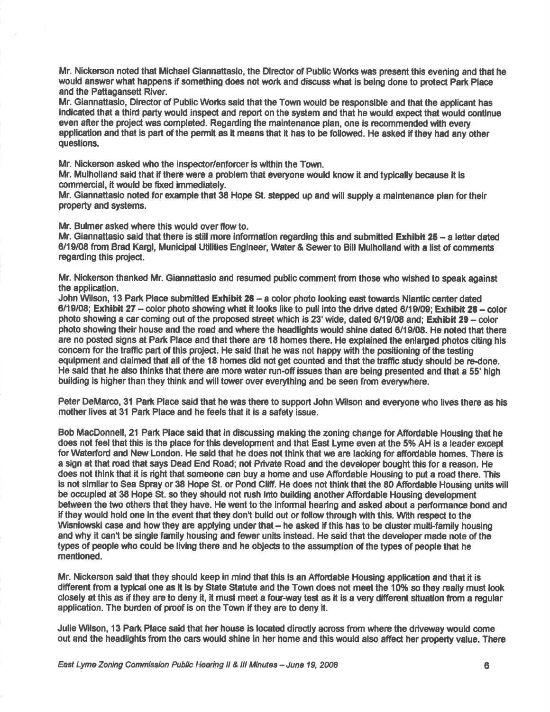Mr. Nickerson noted that Michael Giannattasio, the Director of Public Works was present this evening and that he would answer what happens if something does not work and discuss what is being done to protect Park Place and the Pattagansett River.

Mr. Giannattasio, Director of Public Works said that the Town would be responsible and that the applicant has indicated that a thid pafiy would inspect and report on the system and that he uould exped that would contlnue even after the project was completed. Regarding the maintenance plan, one is recommended with every application and that is part of the permit as it means that it has to be followed. He asked if they had any other questions.

Mr. Nickerson asked who the inspector/enforcer is within the Town.

Mr. Mulholland said that if there were a problem that everyone would know it and typically because it is commercial, it would be fixed immediately.

Mr. Giannattasio noted for example that 38 Hope St. stepped up and will supply a maintenance plan for their property and systems.

Mr. Bulmer asked where this would over flow to.

Mr. Giannattasio said that there is still more information regarding this and submitted Exhibit 25 - a letter dated 6/19/08 from Brad Kargl, Municipal Utilities Engineer, Water & Sewer to Bill Mulholland with a list of comments regarding this projed.

Mr. Nickerson thanked Mr. Giannattasio and resumed public comment from those who wished to speak against the application.

John Wilson, 13 Park Place submitted Exhibit 26 - a color photo looking east towards Niantic center dated 6/19/08; Exhibit 27 - color photo showing what it looks like to pull into the drive dated 6/19/09; Exhibit 28 - color photo showing a car coming out of the proposed street which is 23' wide, dated  $6/19/08$  and; Exhibit 29 - color photo showing their house and the road and where the headlights would shine dated 6/19/08. He noted that there are no posted signs at Park Place and that there are 18 homes there. He explained the enlarged photos citing his conoem for the traffic part of this project. He sald that he was not happy with the positioning of the testing equipment and claimed that all of the 18 homes did not get counted and that the traffic study should be re-done. He said that he also thinks that there are more water run-off issues than are being presented and that a 55' high building is higher than they think and will tower over everything and be seen from everywhere.

Peter DeMarco, 31 Park Place said that he was there to support John Wilson and everyone who lives there as his mother lives at 31 Park Place and he feels that it is a safety issue.

Bob MacDonnell, 21 Park Place said that in discussing making the zoning change for Affordable Housing that he does not feel that this is the place for this developnent and that East Lyme even at the 5% AH is a leader except for Waterford and New London. He said that he does not think that we are lacking for affordable homes. There is <sup>a</sup>sign at that rcad that says Dead End Road; not Private Road and the developer bought this for a reason. He does not think that it is right that someone can buy a home and use Affordable Housing to put a road there. This Is not similar to Sea Spray or 38 Hope St. or Pond Cliff. He does not think that the 80 Affordable Housing units will be occupied at 38 Hope St. so they should not rush into building another Affordable Housing development between the two othes that they have. He went to the lnformal hearing end asked about a performance bond and if they would hold one in the event that they don't build out or follow through with this. With respect to the Wisniowski case and how they are applying under that – he asked if this has to be cluster multi-family housing and why it can't be single family housing and fewer units instead. He said that the developer made note of the types of people who could be living there and he objects to the assumption of the types of people that he mentloned.

Mr. Nickerson said that they should keep in mind that this is an Affordable Housing application and that it is different fiom a typical one as it is by Slate Statute end the Town does not meet the 10% so they really must look closely at this as if they are to deny it, it must meet a four-way test as it is a very different situation from a regular application. The burden of proof is on the Town if they are to deny it.

Julie Wlson, 13 Park Place said that her house ls located directly across from where the driveway would come out and the headlights from the cars would shine in her home and this would also affect her property value. There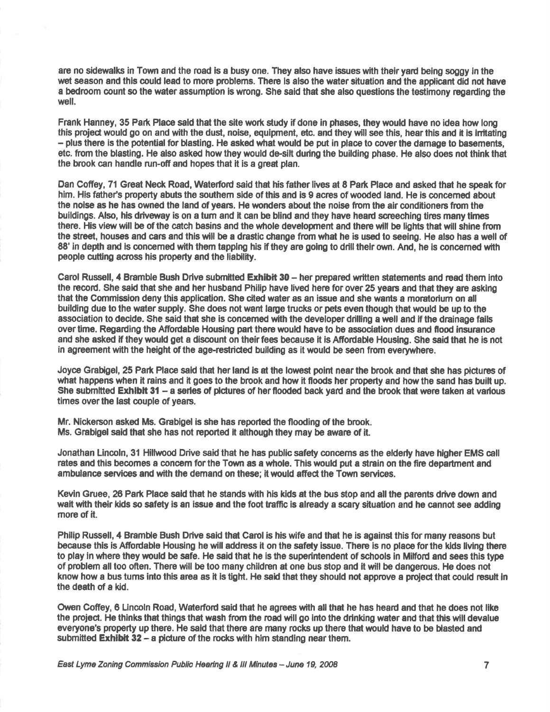are no sidewalks in Town and the road is a busy one. They also have issues with their vard being soggy in the wet season and this could lead to more problems. There is also the water situation and the applicant did not have a bedroom count so the water assumption is wrong. She said that she also questions the testimony regarding the well.

Frank Hanney, 35 Park Place said that the site work study if done in phases, they would have no idea how long this project would go on and with the dust, noise, equignent, etc. and they willsee this, hearthis and it is initating – plus there is the potential for blasting. He asked what would be put in place to cover the damage to basements etc. from the blasting. He also asked how they would de-silt during the building phase. He also does not think that the brook can handle run-offand hopes that it is a great plan.

Dan Gofiey, 71 Great Neck Road, Waterford said that his father lives at 8 Park Place and asked thet he spoek for him. His father's property abuts the southern side of this and is 9 acres of wooded land. He is concerned about the noise as he has owned the land of years. He wonders about the noise from the air conditioners from the buildings. Also, his driveway is on a turn and it can be blind and they have heard screeching tires many times there. His view will be of the catch basins and the whole development and there will be lights that will shine from the street, houses and cars and thls will be a drastic change from what he is used to seeing. He also has a well of 88' in depth and is concerned with them tapping his if they are going to drill their own. And, he is concerned with people cutting across his property and the liability.

Carol Russell, 4 Bramble Bush Drive submitted Exhibit 30 - her prepared written statements and read them into the record. She said that she and her husband Philip have lived here for over 25 years and that they are asking that the Commission deny this application. She cited water as an issue and she wants a moratorlum on all building due to the water supply. She does not want large trucks or pets even though that would be up to the association to decide. She said that she is concemed with the developer drilling a well and if the drainage fails over time. Regarding the Affordable Housing part there would have to be association dues and flood insurance and she asked if they would get a discount on their fees because it is Affordable Housing. She said that he is not in agreement with the height of the age-restricted bullding as it would be seen from everywherc.

Joyce Grabigel, 25 Park Place said that her land is at the lowest point near the brook and that she has pictures of what happens when it rains and it goes to the brook and how it floods her property and how the sand has built up. She submitted Exhibit 31 - a series of pictures of her flooded back yard and the brook that were taken at various times over the last couple of years.

Mr. Nlckerson asked Ms. Grabigel is she has reported the flooding of the brook. Ms. Grabigel said that she has not reported it although they may be aware of it.

Jonathan Lincoln, 31 Hillwood Drive said that he has public safety concerns as the elderly have higher EMS call rates and this becomes a concem for the Town as a whole. This would put a strain on the fire department and ambulance services and with the demand on these; it would affect the Town services.

Kevin Gruee, 26 Park Place said that he stands with his kids at the bus stop and all the parents drive down and wait with their kids so safety is an issue and the foot traffic is already a scary situation and he cannot see adding more of it.

Philip Russell, 4 Bramble Bush Drive said that Carol is his wife and that he is against this for many reasons but because this is Affordable Housing he will address it on the safety issue. There is no place for the kids living there to play in where they uould be safe. He said that he is the superintendent of schools in Milford and sees this type of problem all too often. There will be too many children at one bus stop and it will be dangerous. He does not know how a bus tums into this area as it is tight. He said that they should not approve a project that could result in the death of a kid.

Owen Coffey, 6 Lincoln Road, Waterford said that he agrees with all that he has heard and that he does not like the project. He thinks that things that wash from the road will go lnto the drinking water and that this will devalue everyone's property up there. He said that there are many rocks up there that would have to be blasted and submitted Exhibit 32 - a picture of the rocks with him standing near them.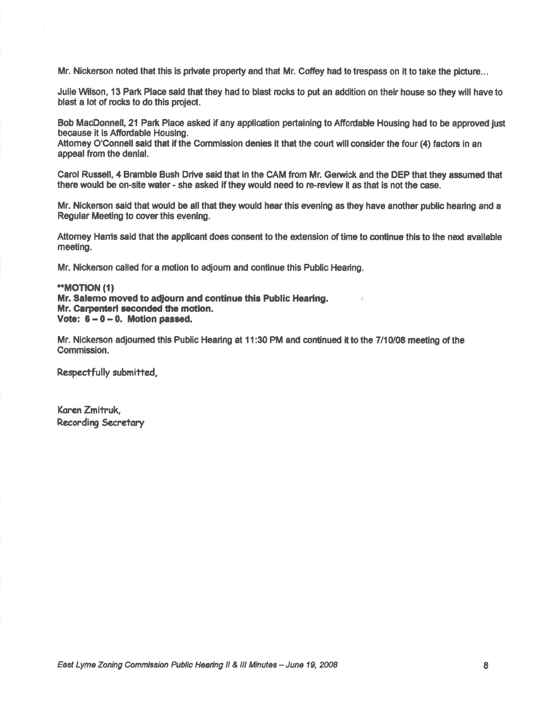Mr. Nickerson noted that this is private property and that Mr. Coffey had to trespass on it to take the picture...

Julie Wilson, 13 Park Place said that they had to blast rocks to put an addition on their house so they will have to blast a lot of rocks to do this project.

Bob MacDonnell, 21 Park Place asked if any application pertaining to Affordable Housing had to be approved just because it is Affordable Housing.

Attomey O'Connell said that if the Commission denies it that the court will consider the four (4) factors in an appeal from the denial.

Carol Russell, 4 Bramble Bush Drive said that in the CAM from Mr. Gerwick and the DEP that they assumed that there would be on-site water - she esked if they would need to re.review it as that is not the case.

Mr. Nlckerson said that would be all that they would hear this evenlng as they have another publlc hearing and <sup>a</sup> Regular Meeting to cover this evening.

Attomey Hams said that the applicant does consent to the extension of time to continue this to the next available meeting.

Mr. Nickerson called for a motion to adjourn and continue this Public Hearing.

#### \*\*MOTION (1) Mr. Salemo moved to adjourn and continue this Public Hearing. Mr. Carpenteri seconded the motion. Vote:  $6-0-0$ . Motion passed.

Mr. Nickerson adjoumed this Public Hearing at 11:30 PM and continued it to the 7110108 meeting of the Gommission.

Respectfully submitted.

Karen Zmitruk, Recording Secretary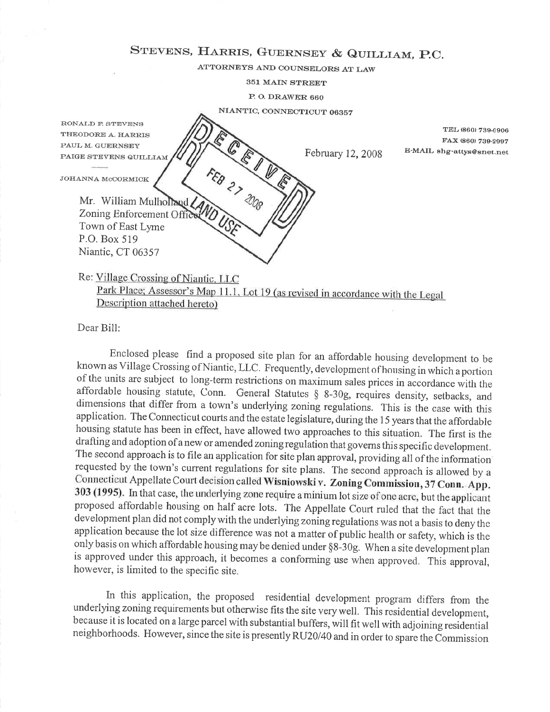## STEVENS, HARRIS, GUERNSEY & QUILLIAM, P.C.

ATTORNEYS AND COIJNSELORS AT LAW

351 MAIN STREET

P. O. DRAWER 660

NIANTIC, CONNECTICUT <sup>06357</sup>

RONALD F. STEVENS THEODORE A. HARRIS PAUL M. GUERNSEY PAIGE STEVENS QUILLIAM

JOHANNA MCCORMICK

E-MAIL shg-attys@snet.net February 12,2008  $\frac{1}{\sqrt{2}}$ 

TEL (860) 739.6906 FtA.x (860) 739-9907

Mr. William Mulholland Zoning Enforcement Office Town of East Lyme P.O. Box 519 Niantic, CT 06357

# Re: Village Crossing of Niantic, LLC<br>Park Place; Assessor's Map 11.1, Lot 19 (as revised in accordance with the Legal

<sup>D</sup>escription attached hereto)

Dear Bill:

Enclosed please find a proposed site plan for an affordable housing development to be known as Village Crossing of Niantic, LLC. Frequently, development of housing in which a portion of the units are subject to long-term restrictions on maximum sales prices in accordance with the affordable housing statute, Conn. General Statutes  $§$  8-30g, requires density, setbacks, and dimensions that differ from a town's underlying zoning regulations. This is the case with this application. The Connecticut courts and the estate legislature, during the 15 years that the affordable housing statute has been in effect, have allowed two approaches to this situation. The first is the drafting and adoption of a new or amended zoning regulation that governs this specific development. The second approach is to file an application for site plan approval, providing all of the information requested by the town's current regulations for site plans. The second approach is allowed by a Connecticut Appellate Court decision called Wisniowski v. Zoning Commission, 37 Conn. App. 303 (1995). In that case, the underlying zone require a minium lot size of one acre, but the applicant proposed affordable housing on half acre lots. The Appellate Court ruled that the fact that the development plan did not complywith the underlying zoning regulations was not a basis to deny the application because the lot size difference was not a matter of public health or safety, which is the only basis on which affordable housing may be denied under \$8-309. When a site development plan is approved under this approach, it becomes a conforming use when approved. This approval, however, is limited to the specific site.

In this application, the proposed residential development program differs from the underlying zoning requirements but otherwise fits the site verywell. This residential development, because it is located on a large parcel with substantial buffers, will fit well with adjoining residential neighborhoods. Flowever, since the site is presently RU20/40 and in order to spare the Commission